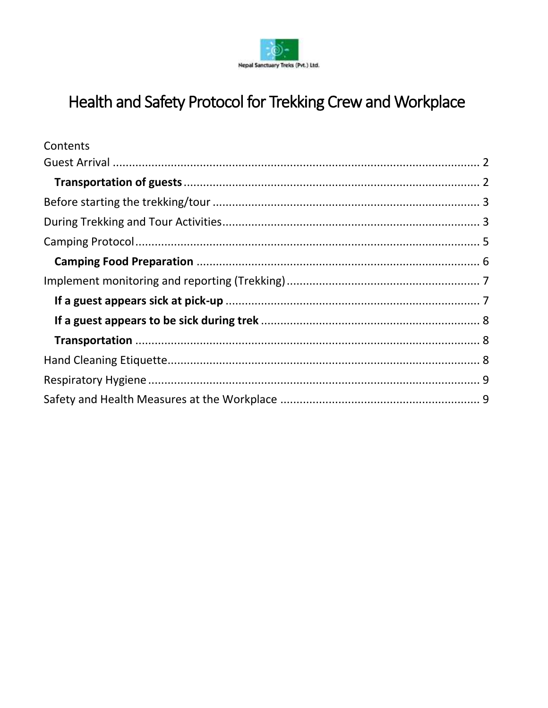

# Health and Safety Protocol for Trekking Crew and Workplace

| Contents |  |
|----------|--|
|          |  |
|          |  |
|          |  |
|          |  |
|          |  |
|          |  |
|          |  |
|          |  |
|          |  |
|          |  |
|          |  |
|          |  |
|          |  |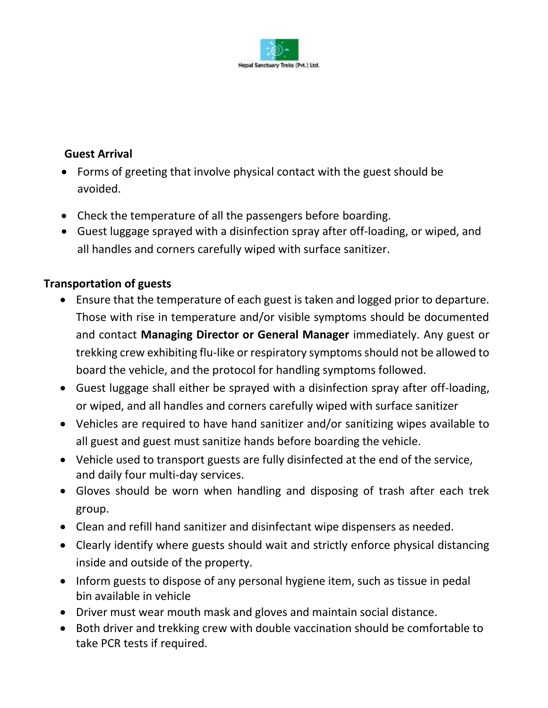

#### <span id="page-1-0"></span>**Guest Arrival**

- Forms of greeting that involve physical contact with the guest should be avoided.
- Check the temperature of all the passengers before boarding.
- Guest luggage sprayed with a disinfection spray after off-loading, or wiped, and all handles and corners carefully wiped with surface sanitizer.

## <span id="page-1-1"></span>**Transportation of guests**

- Ensure that the temperature of each guest is taken and logged prior to departure. Those with rise in temperature and/or visible symptoms should be documented and contact **Managing Director or General Manager** immediately. Any guest or trekking crew exhibiting flu-like or respiratory symptoms should not be allowed to board the vehicle, and the protocol for handling symptoms followed.
- Guest luggage shall either be sprayed with a disinfection spray after off-loading, or wiped, and all handles and corners carefully wiped with surface sanitizer
- Vehicles are required to have hand sanitizer and/or sanitizing wipes available to all guest and guest must sanitize hands before boarding the vehicle.
- Vehicle used to transport guests are fully disinfected at the end of the service, and daily four multi-day services.
- Gloves should be worn when handling and disposing of trash after each trek group.
- Clean and refill hand sanitizer and disinfectant wipe dispensers as needed.
- Clearly identify where guests should wait and strictly enforce physical distancing inside and outside of the property.
- Inform guests to dispose of any personal hygiene item, such as tissue in pedal bin available in vehicle
- Driver must wear mouth mask and gloves and maintain social distance.
- Both driver and trekking crew with double vaccination should be comfortable to take PCR tests if required.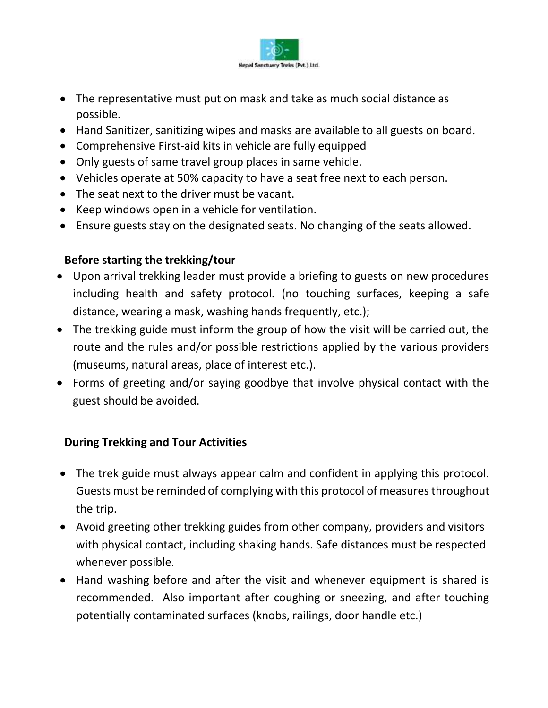

- The representative must put on mask and take as much social distance as possible.
- Hand Sanitizer, sanitizing wipes and masks are available to all guests on board.
- Comprehensive First-aid kits in vehicle are fully equipped
- Only guests of same travel group places in same vehicle.
- Vehicles operate at 50% capacity to have a seat free next to each person.
- The seat next to the driver must be vacant.
- Keep windows open in a vehicle for ventilation.
- Ensure guests stay on the designated seats. No changing of the seats allowed.

## <span id="page-2-0"></span>**Before starting the trekking/tour**

- Upon arrival trekking leader must provide a briefing to guests on new procedures including health and safety protocol. (no touching surfaces, keeping a safe distance, wearing a mask, washing hands frequently, etc.);
- The trekking guide must inform the group of how the visit will be carried out, the route and the rules and/or possible restrictions applied by the various providers (museums, natural areas, place of interest etc.).
- Forms of greeting and/or saying goodbye that involve physical contact with the guest should be avoided.

#### <span id="page-2-1"></span>**During Trekking and Tour Activities**

- The trek guide must always appear calm and confident in applying this protocol. Guests must be reminded of complying with this protocol of measures throughout the trip.
- Avoid greeting other trekking guides from other company, providers and visitors with physical contact, including shaking hands. Safe distances must be respected whenever possible.
- Hand washing before and after the visit and whenever equipment is shared is recommended. Also important after coughing or sneezing, and after touching potentially contaminated surfaces (knobs, railings, door handle etc.)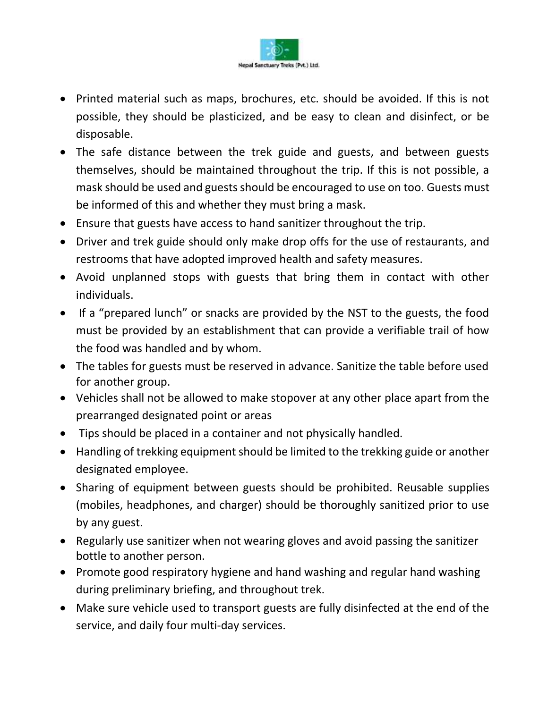

- Printed material such as maps, brochures, etc. should be avoided. If this is not possible, they should be plasticized, and be easy to clean and disinfect, or be disposable.
- The safe distance between the trek guide and guests, and between guests themselves, should be maintained throughout the trip. If this is not possible, a mask should be used and guests should be encouraged to use on too. Guests must be informed of this and whether they must bring a mask.
- Ensure that guests have access to hand sanitizer throughout the trip.
- Driver and trek guide should only make drop offs for the use of restaurants, and restrooms that have adopted improved health and safety measures.
- Avoid unplanned stops with guests that bring them in contact with other individuals.
- If a "prepared lunch" or snacks are provided by the NST to the guests, the food must be provided by an establishment that can provide a verifiable trail of how the food was handled and by whom.
- The tables for guests must be reserved in advance. Sanitize the table before used for another group.
- Vehicles shall not be allowed to make stopover at any other place apart from the prearranged designated point or areas
- Tips should be placed in a container and not physically handled.
- Handling of trekking equipment should be limited to the trekking guide or another designated employee.
- Sharing of equipment between guests should be prohibited. Reusable supplies (mobiles, headphones, and charger) should be thoroughly sanitized prior to use by any guest.
- Regularly use sanitizer when not wearing gloves and avoid passing the sanitizer bottle to another person.
- Promote good respiratory hygiene and hand washing and regular hand washing during preliminary briefing, and throughout trek.
- Make sure vehicle used to transport guests are fully disinfected at the end of the service, and daily four multi-day services.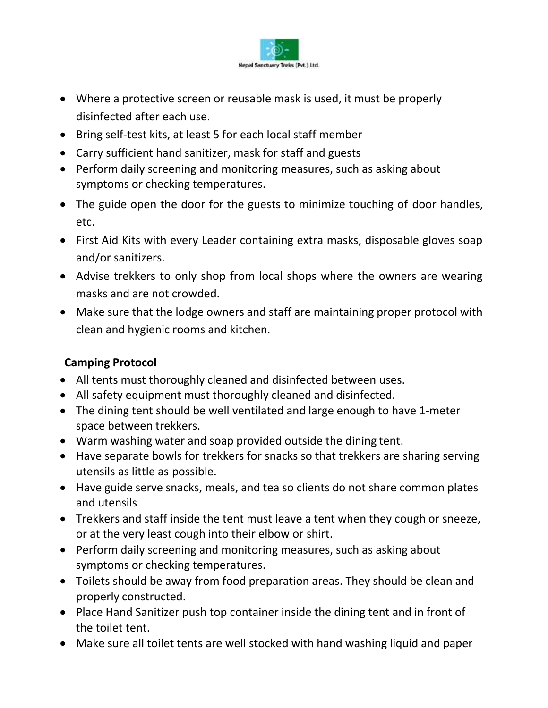

- Where a protective screen or reusable mask is used, it must be properly disinfected after each use.
- Bring self-test kits, at least 5 for each local staff member
- Carry sufficient hand sanitizer, mask for staff and guests
- Perform daily screening and monitoring measures, such as asking about symptoms or checking temperatures.
- The guide open the door for the guests to minimize touching of door handles, etc.
- First Aid Kits with every Leader containing extra masks, disposable gloves soap and/or sanitizers.
- Advise trekkers to only shop from local shops where the owners are wearing masks and are not crowded.
- Make sure that the lodge owners and staff are maintaining proper protocol with clean and hygienic rooms and kitchen.

#### <span id="page-4-0"></span>**Camping Protocol**

- All tents must thoroughly cleaned and disinfected between uses.
- All safety equipment must thoroughly cleaned and disinfected.
- The dining tent should be well ventilated and large enough to have 1-meter space between trekkers.
- Warm washing water and soap provided outside the dining tent.
- Have separate bowls for trekkers for snacks so that trekkers are sharing serving utensils as little as possible.
- Have guide serve snacks, meals, and tea so clients do not share common plates and utensils
- Trekkers and staff inside the tent must leave a tent when they cough or sneeze, or at the very least cough into their elbow or shirt.
- Perform daily screening and monitoring measures, such as asking about symptoms or checking temperatures.
- Toilets should be away from food preparation areas. They should be clean and properly constructed.
- Place Hand Sanitizer push top container inside the dining tent and in front of the toilet tent.
- Make sure all toilet tents are well stocked with hand washing liquid and paper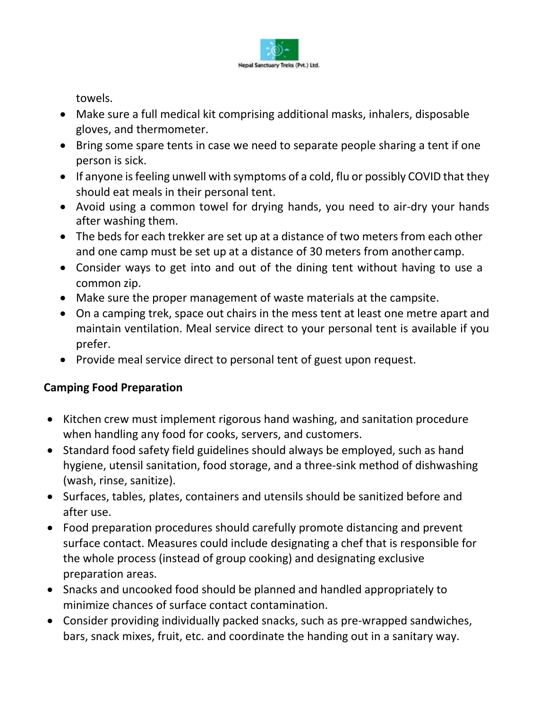

towels.

- Make sure a full medical kit comprising additional masks, inhalers, disposable gloves, and thermometer.
- Bring some spare tents in case we need to separate people sharing a tent if one person is sick.
- If anyone is feeling unwell with symptoms of a cold, flu or possibly COVID that they should eat meals in their personal tent.
- Avoid using a common towel for drying hands, you need to air-dry your hands after washing them.
- The beds for each trekker are set up at a distance of two meters from each other and one camp must be set up at a distance of 30 meters from another camp.
- Consider ways to get into and out of the dining tent without having to use a common zip.
- Make sure the proper management of waste materials at the campsite.
- On a camping trek, space out chairs in the mess tent at least one metre apart and maintain ventilation. Meal service direct to your personal tent is available if you prefer.
- Provide meal service direct to personal tent of guest upon request.

# <span id="page-5-0"></span>**Camping Food Preparation**

- Kitchen crew must implement rigorous hand washing, and sanitation procedure when handling any food for cooks, servers, and customers.
- Standard food safety field guidelines should always be employed, such as hand hygiene, utensil sanitation, food storage, and a three-sink method of dishwashing (wash, rinse, sanitize).
- Surfaces, tables, plates, containers and utensils should be sanitized before and after use.
- Food preparation procedures should carefully promote distancing and prevent surface contact. Measures could include designating a chef that is responsible for the whole process (instead of group cooking) and designating exclusive preparation areas.
- Snacks and uncooked food should be planned and handled appropriately to minimize chances of surface contact contamination.
- Consider providing individually packed snacks, such as pre-wrapped sandwiches, bars, snack mixes, fruit, etc. and coordinate the handing out in a sanitary way.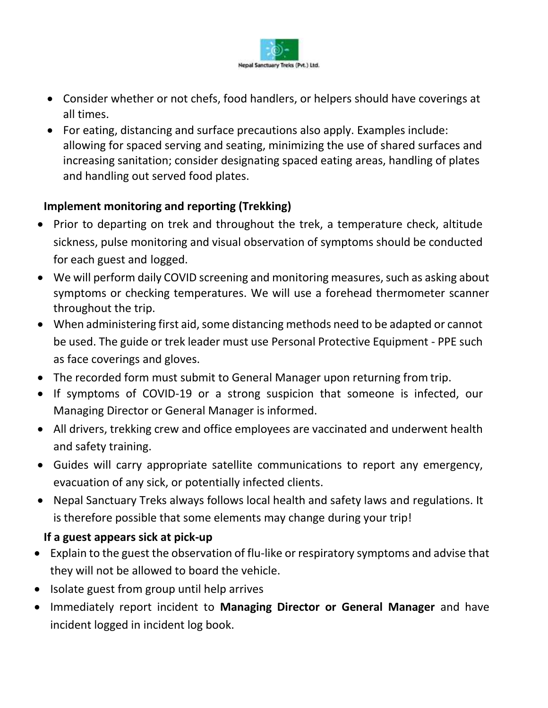

- Consider whether or not chefs, food handlers, or helpers should have coverings at all times.
- For eating, distancing and surface precautions also apply. Examples include: allowing for spaced serving and seating, minimizing the use of shared surfaces and increasing sanitation; consider designating spaced eating areas, handling of plates and handling out served food plates.

#### <span id="page-6-0"></span>**Implement monitoring and reporting (Trekking)**

- Prior to departing on trek and throughout the trek, a temperature check, altitude sickness, pulse monitoring and visual observation of symptoms should be conducted for each guest and logged.
- We will perform daily COVID screening and monitoring measures, such as asking about symptoms or checking temperatures. We will use a forehead thermometer scanner throughout the trip.
- When administering first aid, some distancing methods need to be adapted or cannot be used. The guide or trek leader must use Personal Protective Equipment - PPE such as face coverings and gloves.
- The recorded form must submit to General Manager upon returning from trip.
- If symptoms of COVID-19 or a strong suspicion that someone is infected, our Managing Director or General Manager is informed.
- All drivers, trekking crew and office employees are vaccinated and underwent health and safety training.
- Guides will carry appropriate satellite communications to report any emergency, evacuation of any sick, or potentially infected clients.
- Nepal Sanctuary Treks always follows local health and safety laws and regulations. It is therefore possible that some elements may change during your trip!

#### <span id="page-6-1"></span>**If a guest appears sick at pick-up**

- Explain to the guest the observation of flu-like or respiratory symptoms and advise that they will not be allowed to board the vehicle.
- Isolate guest from group until help arrives
- Immediately report incident to **Managing Director or General Manager** and have incident logged in incident log book.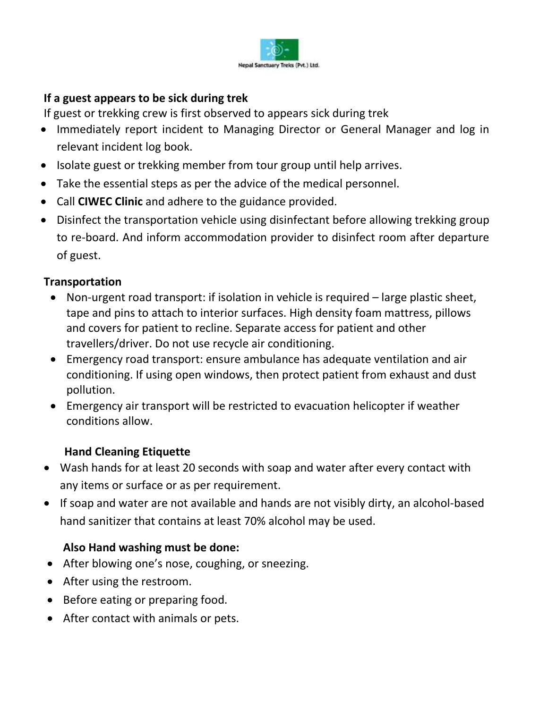

# <span id="page-7-0"></span>**If a guest appears to be sick during trek**

If guest or trekking crew is first observed to appears sick during trek

- Immediately report incident to Managing Director or General Manager and log in relevant incident log book.
- Isolate guest or trekking member from tour group until help arrives.
- Take the essential steps as per the advice of the medical personnel.
- Call **CIWEC Clinic** and adhere to the guidance provided.
- Disinfect the transportation vehicle using disinfectant before allowing trekking group to re-board. And inform accommodation provider to disinfect room after departure of guest.

#### <span id="page-7-1"></span>**Transportation**

- Non-urgent road transport: if isolation in vehicle is required large plastic sheet, tape and pins to attach to interior surfaces. High density foam mattress, pillows and covers for patient to recline. Separate access for patient and other travellers/driver. Do not use recycle air conditioning.
- Emergency road transport: ensure ambulance has adequate ventilation and air conditioning. If using open windows, then protect patient from exhaust and dust pollution.
- Emergency air transport will be restricted to evacuation helicopter if weather conditions allow.

#### **Hand Cleaning Etiquette**

- <span id="page-7-2"></span> Wash hands for at least 20 seconds with soap and water after every contact with any items or surface or as per requirement.
- If soap and water are not available and hands are not visibly dirty, an alcohol-based hand sanitizer that contains at least 70% alcohol may be used.

#### **Also Hand washing must be done:**

- After blowing one's nose, coughing, or sneezing.
- After using the restroom.
- Before eating or preparing food.
- After contact with animals or pets.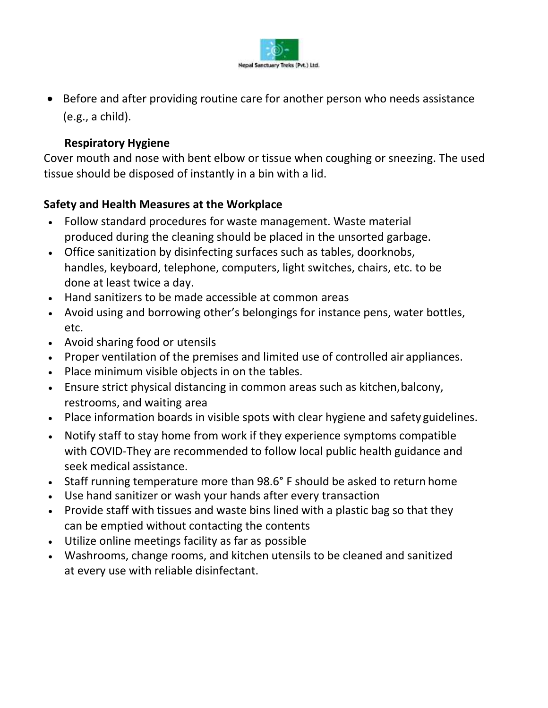

 Before and after providing routine care for another person who needs assistance (e.g., a child).

### **Respiratory Hygiene**

<span id="page-8-0"></span>Cover mouth and nose with bent elbow or tissue when coughing or sneezing. The used tissue should be disposed of instantly in a bin with a lid.

#### <span id="page-8-1"></span>**Safety and Health Measures at the Workplace**

- Follow standard procedures for waste management. Waste material produced during the cleaning should be placed in the unsorted garbage.
- Office sanitization by disinfecting surfaces such as tables, doorknobs, handles, keyboard, telephone, computers, light switches, chairs, etc. to be done at least twice a day.
- Hand sanitizers to be made accessible at common areas
- Avoid using and borrowing other's belongings for instance pens, water bottles, etc.
- Avoid sharing food or utensils
- Proper ventilation of the premises and limited use of controlled air appliances.
- Place minimum visible objects in on the tables.
- Ensure strict physical distancing in common areas such as kitchen,balcony, restrooms, and waiting area
- Place information boards in visible spots with clear hygiene and safety guidelines.
- Notify staff to stay home from work if they experience symptoms compatible with COVID-They are recommended to follow local public health guidance and seek medical assistance.
- Staff running temperature more than 98.6° F should be asked to return home
- Use hand sanitizer or wash your hands after every transaction
- Provide staff with tissues and waste bins lined with a plastic bag so that they can be emptied without contacting the contents
- Utilize online meetings facility as far as possible
- Washrooms, change rooms, and kitchen utensils to be cleaned and sanitized at every use with reliable disinfectant.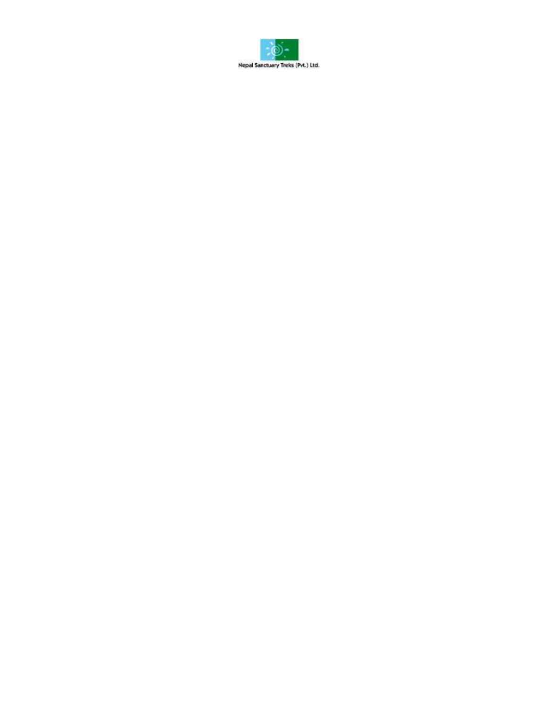